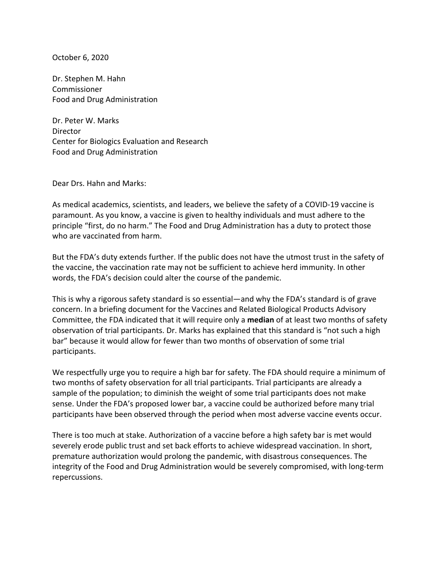October 6, 2020

Dr. Stephen M. Hahn Commissioner Food and Drug Administration

Dr. Peter W. Marks **Director** Center for Biologics Evaluation and Research Food and Drug Administration

Dear Drs. Hahn and Marks:

As medical academics, scientists, and leaders, we believe the safety of a COVID-19 vaccine is paramount. As you know, a vaccine is given to healthy individuals and must adhere to the principle "first, do no harm." The Food and Drug Administration has a duty to protect those who are vaccinated from harm.

But the FDA's duty extends further. If the public does not have the utmost trust in the safety of the vaccine, the vaccination rate may not be sufficient to achieve herd immunity. In other words, the FDA's decision could alter the course of the pandemic.

This is why a rigorous safety standard is so essential—and why the FDA's standard is of grave concern. In a briefing document for the Vaccines and Related Biological Products Advisory Committee, the FDA indicated that it will require only a **median** of at least two months of safety observation of trial participants. Dr. Marks has explained that this standard is "not such a high bar" because it would allow for fewer than two months of observation of some trial participants. 

We respectfully urge you to require a high bar for safety. The FDA should require a minimum of two months of safety observation for all trial participants. Trial participants are already a sample of the population; to diminish the weight of some trial participants does not make sense. Under the FDA's proposed lower bar, a vaccine could be authorized before many trial participants have been observed through the period when most adverse vaccine events occur.

There is too much at stake. Authorization of a vaccine before a high safety bar is met would severely erode public trust and set back efforts to achieve widespread vaccination. In short, premature authorization would prolong the pandemic, with disastrous consequences. The integrity of the Food and Drug Administration would be severely compromised, with long-term repercussions.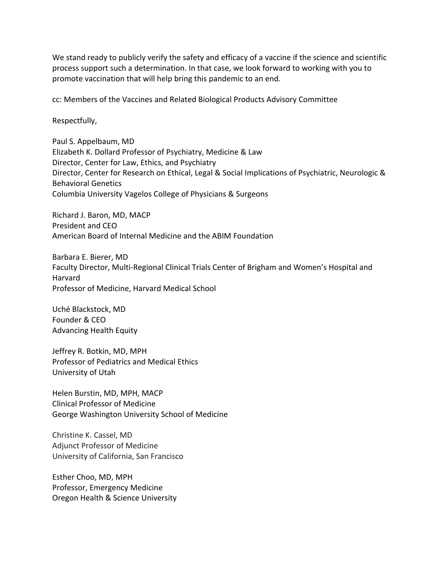We stand ready to publicly verify the safety and efficacy of a vaccine if the science and scientific process support such a determination. In that case, we look forward to working with you to promote vaccination that will help bring this pandemic to an end.

cc: Members of the Vaccines and Related Biological Products Advisory Committee

Respectfully, 

Paul S. Appelbaum, MD Elizabeth K. Dollard Professor of Psychiatry, Medicine & Law Director, Center for Law, Ethics, and Psychiatry Director, Center for Research on Ethical, Legal & Social Implications of Psychiatric, Neurologic & Behavioral Genetics Columbia University Vagelos College of Physicians & Surgeons

Richard J. Baron, MD, MACP President and CEO American Board of Internal Medicine and the ABIM Foundation

Barbara E. Bierer, MD Faculty Director, Multi-Regional Clinical Trials Center of Brigham and Women's Hospital and Harvard Professor of Medicine, Harvard Medical School

Uché Blackstock, MD Founder & CEO Advancing Health Equity

Jeffrey R. Botkin, MD, MPH Professor of Pediatrics and Medical Ethics University of Utah

Helen Burstin, MD, MPH, MACP Clinical Professor of Medicine George Washington University School of Medicine

Christine K. Cassel, MD Adjunct Professor of Medicine University of California, San Francisco

Esther Choo, MD, MPH Professor, Emergency Medicine Oregon Health & Science University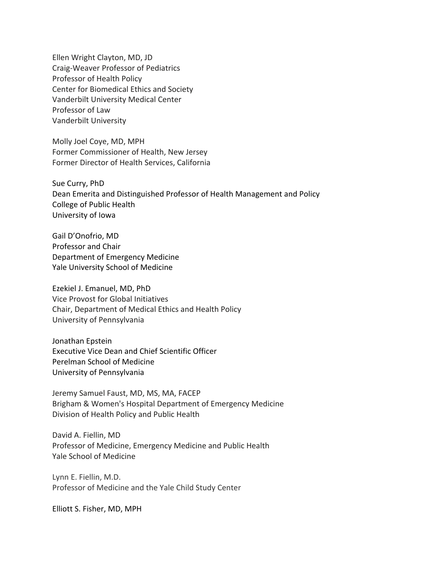Ellen Wright Clayton, MD, JD Craig-Weaver Professor of Pediatrics Professor of Health Policy Center for Biomedical Ethics and Society Vanderbilt University Medical Center Professor of Law Vanderbilt University

Molly Joel Coye, MD, MPH Former Commissioner of Health, New Jersey Former Director of Health Services, California

Sue Curry, PhD Dean Emerita and Distinguished Professor of Health Management and Policy College of Public Health University of Iowa

Gail D'Onofrio, MD Professor and Chair Department of Emergency Medicine Yale University School of Medicine

Ezekiel J. Emanuel, MD, PhD Vice Provost for Global Initiatives Chair, Department of Medical Ethics and Health Policy University of Pennsylvania

Jonathan Epstein Executive Vice Dean and Chief Scientific Officer Perelman School of Medicine University of Pennsylvania

Jeremy Samuel Faust, MD, MS, MA, FACEP Brigham & Women's Hospital Department of Emergency Medicine Division of Health Policy and Public Health

David A. Fiellin, MD Professor of Medicine, Emergency Medicine and Public Health Yale School of Medicine

Lynn E. Fiellin, M.D. Professor of Medicine and the Yale Child Study Center

Elliott S. Fisher, MD, MPH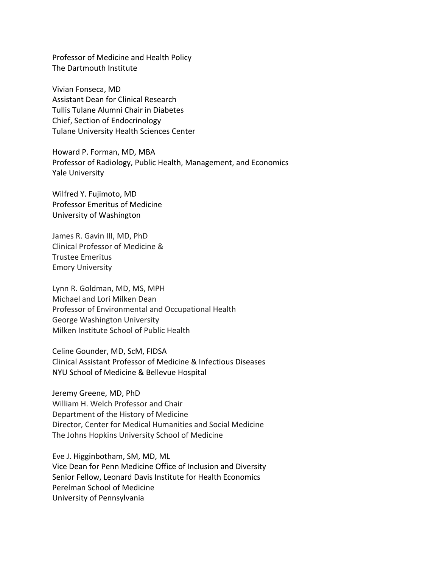Professor of Medicine and Health Policy The Dartmouth Institute

Vivian Fonseca, MD Assistant Dean for Clinical Research Tullis Tulane Alumni Chair in Diabetes Chief, Section of Endocrinology Tulane University Health Sciences Center

Howard P. Forman, MD, MBA Professor of Radiology, Public Health, Management, and Economics Yale University

Wilfred Y. Fujimoto, MD Professor Emeritus of Medicine University of Washington

James R. Gavin III, MD, PhD Clinical Professor of Medicine & Trustee Emeritus Emory University

Lynn R. Goldman, MD, MS, MPH Michael and Lori Milken Dean Professor of Environmental and Occupational Health George Washington University Milken Institute School of Public Health

Celine Gounder, MD, ScM, FIDSA Clinical Assistant Professor of Medicine & Infectious Diseases NYU School of Medicine & Bellevue Hospital

Jeremy Greene, MD, PhD William H. Welch Professor and Chair Department of the History of Medicine Director, Center for Medical Humanities and Social Medicine The Johns Hopkins University School of Medicine

Eve J. Higginbotham, SM, MD, ML Vice Dean for Penn Medicine Office of Inclusion and Diversity Senior Fellow, Leonard Davis Institute for Health Economics Perelman School of Medicine University of Pennsylvania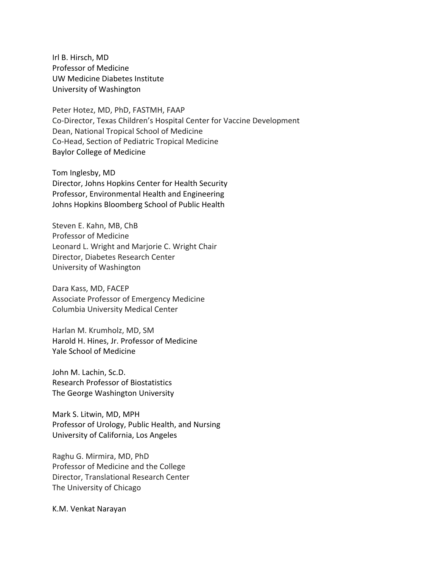Irl B. Hirsch, MD Professor of Medicine UW Medicine Diabetes Institute University of Washington

Peter Hotez, MD, PhD, FASTMH, FAAP Co-Director, Texas Children's Hospital Center for Vaccine Development Dean, National Tropical School of Medicine Co-Head, Section of Pediatric Tropical Medicine Baylor College of Medicine

Tom Inglesby, MD Director, Johns Hopkins Center for Health Security Professor, Environmental Health and Engineering Johns Hopkins Bloomberg School of Public Health

Steven E. Kahn, MB, ChB Professor of Medicine Leonard L. Wright and Marjorie C. Wright Chair Director, Diabetes Research Center University of Washington

Dara Kass, MD, FACEP Associate Professor of Emergency Medicine Columbia University Medical Center

Harlan M. Krumholz, MD, SM Harold H. Hines, Jr. Professor of Medicine Yale School of Medicine

John M. Lachin, Sc.D. Research Professor of Biostatistics The George Washington University

Mark S. Litwin, MD, MPH Professor of Urology, Public Health, and Nursing University of California, Los Angeles

Raghu G. Mirmira, MD, PhD Professor of Medicine and the College Director, Translational Research Center The University of Chicago

K.M. Venkat Narayan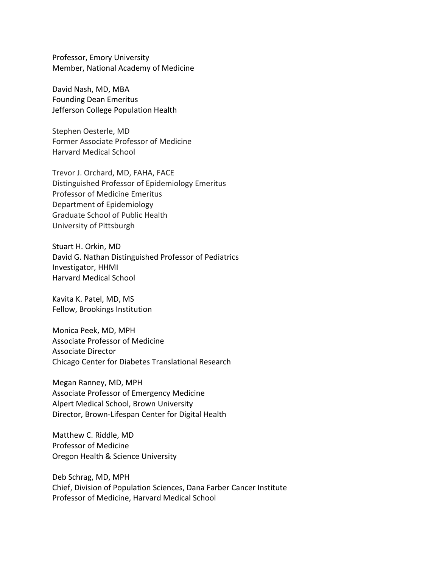Professor, Emory University Member, National Academy of Medicine

David Nash, MD, MBA Founding Dean Emeritus Jefferson College Population Health

Stephen Oesterle, MD Former Associate Professor of Medicine Harvard Medical School

Trevor J. Orchard, MD, FAHA, FACE Distinguished Professor of Epidemiology Emeritus Professor of Medicine Emeritus Department of Epidemiology Graduate School of Public Health University of Pittsburgh

Stuart H. Orkin, MD David G. Nathan Distinguished Professor of Pediatrics Investigator, HHMI Harvard Medical School

Kavita K. Patel, MD, MS Fellow, Brookings Institution

Monica Peek, MD, MPH Associate Professor of Medicine Associate Director Chicago Center for Diabetes Translational Research

Megan Ranney, MD, MPH Associate Professor of Emergency Medicine Alpert Medical School, Brown University Director, Brown-Lifespan Center for Digital Health

Matthew C. Riddle, MD Professor of Medicine Oregon Health & Science University

Deb Schrag, MD, MPH Chief, Division of Population Sciences, Dana Farber Cancer Institute Professor of Medicine, Harvard Medical School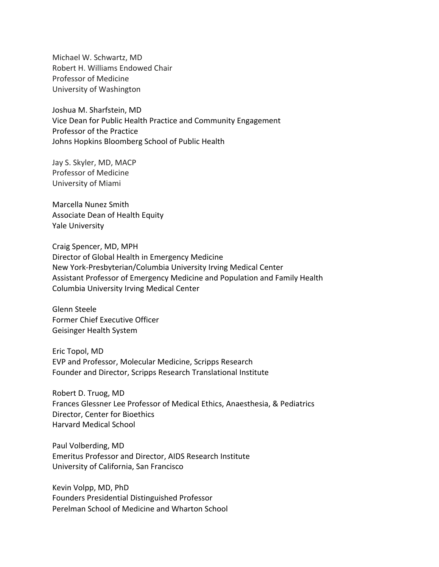Michael W. Schwartz, MD Robert H. Williams Endowed Chair Professor of Medicine University of Washington

Joshua M. Sharfstein, MD Vice Dean for Public Health Practice and Community Engagement Professor of the Practice Johns Hopkins Bloomberg School of Public Health

Jay S. Skyler, MD, MACP Professor of Medicine University of Miami

Marcella Nunez Smith Associate Dean of Health Equity Yale University

Craig Spencer, MD, MPH Director of Global Health in Emergency Medicine New York-Presbyterian/Columbia University Irving Medical Center Assistant Professor of Emergency Medicine and Population and Family Health Columbia University Irving Medical Center

Glenn Steele Former Chief Executive Officer Geisinger Health System

Eric Topol, MD EVP and Professor, Molecular Medicine, Scripps Research Founder and Director, Scripps Research Translational Institute

Robert D. Truog, MD Frances Glessner Lee Professor of Medical Ethics, Anaesthesia, & Pediatrics Director, Center for Bioethics Harvard Medical School

Paul Volberding, MD Emeritus Professor and Director, AIDS Research Institute University of California, San Francisco

Kevin Volpp, MD, PhD Founders Presidential Distinguished Professor Perelman School of Medicine and Wharton School